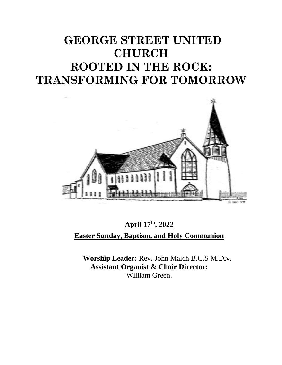# **GEORGE STREET UNITED CHURCH ROOTED IN THE ROCK: TRANSFORMING FOR TOMORROW**



**April 17 th, 2022 Easter Sunday, Baptism, and Holy Communion**

**Worship Leader:** Rev. John Maich B.C.S M.Div. **Assistant Organist & Choir Director:**  William Green.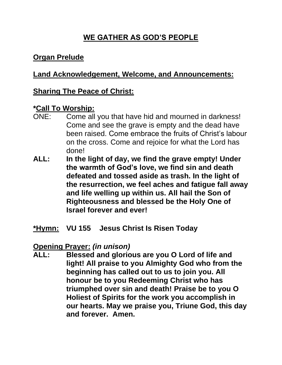# **WE GATHER AS GOD'S PEOPLE**

# **Organ Prelude**

# **Land Acknowledgement, Welcome, and Announcements:**

#### **Sharing The Peace of Christ:**

#### **\*Call To Worship:**

- ONE: Come all you that have hid and mourned in darkness! Come and see the grave is empty and the dead have been raised. Come embrace the fruits of Christ's labour on the cross. Come and rejoice for what the Lord has done!
- **ALL: In the light of day, we find the grave empty! Under the warmth of God's love, we find sin and death defeated and tossed aside as trash. In the light of the resurrection, we feel aches and fatigue fall away and life welling up within us. All hail the Son of Righteousness and blessed be the Holy One of Israel forever and ever!**

#### **\*Hymn: VU 155 Jesus Christ Is Risen Today**

#### **Opening Prayer:** *(in unison)*

**ALL: Blessed and glorious are you O Lord of life and light! All praise to you Almighty God who from the beginning has called out to us to join you. All honour be to you Redeeming Christ who has triumphed over sin and death! Praise be to you O Holiest of Spirits for the work you accomplish in our hearts. May we praise you, Triune God, this day and forever. Amen.**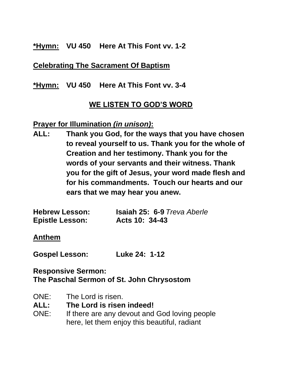#### **\*Hymn: VU 450 Here At This Font vv. 1-2**

#### **Celebrating The Sacrament Of Baptism**

#### **\*Hymn: VU 450 Here At This Font vv. 3-4**

## **WE LISTEN TO GOD'S WORD**

#### **Prayer for Illumination** *(in unison)***:**

**ALL: Thank you God, for the ways that you have chosen to reveal yourself to us. Thank you for the whole of Creation and her testimony. Thank you for the words of your servants and their witness. Thank you for the gift of Jesus, your word made flesh and for his commandments. Touch our hearts and our ears that we may hear you anew.**

| <b>Hebrew Lesson:</b>  | <b>Isaiah 25: 6-9 Treva Aberle</b> |
|------------------------|------------------------------------|
| <b>Epistle Lesson:</b> | Acts 10: 34-43                     |

#### **Anthem**

**Gospel Lesson: Luke 24: 1-12**

#### **Responsive Sermon: The Paschal Sermon of St. John Chrysostom**

- ONE: The Lord is risen.
- **ALL: The Lord is risen indeed!**
- ONE: If there are any devout and God loving people here, let them enjoy this beautiful, radiant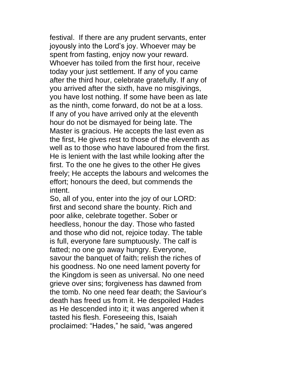festival. If there are any prudent servants, enter joyously into the Lord's joy. Whoever may be spent from fasting, enjoy now your reward. Whoever has toiled from the first hour, receive today your just settlement. If any of you came after the third hour, celebrate gratefully. If any of you arrived after the sixth, have no misgivings, you have lost nothing. If some have been as late as the ninth, come forward, do not be at a loss. If any of you have arrived only at the eleventh hour do not be dismayed for being late. The Master is gracious. He accepts the last even as the first, He gives rest to those of the eleventh as well as to those who have laboured from the first. He is lenient with the last while looking after the first. To the one he gives to the other He gives freely; He accepts the labours and welcomes the effort; honours the deed, but commends the intent.

So, all of you, enter into the joy of our LORD: first and second share the bounty. Rich and poor alike, celebrate together. Sober or heedless, honour the day. Those who fasted and those who did not, rejoice today. The table is full, everyone fare sumptuously. The calf is fatted; no one go away hungry. Everyone, savour the banquet of faith; relish the riches of his goodness. No one need lament poverty for the Kingdom is seen as universal. No one need grieve over sins; forgiveness has dawned from the tomb. No one need fear death; the Saviour's death has freed us from it. He despoiled Hades as He descended into it; it was angered when it tasted his flesh. Foreseeing this, Isaiah proclaimed: "Hades," he said, "was angered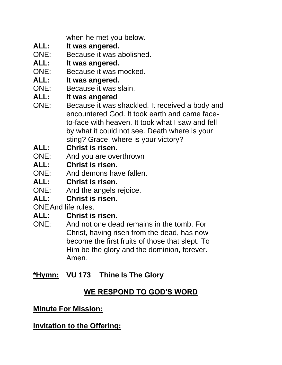when he met you below.

- **ALL: It was angered.**
- ONE: Because it was abolished.
- **ALL: It was angered.**
- ONE: Because it was mocked.
- **ALL: It was angered.**
- ONE: Because it was slain.
- **ALL: It was angered**
- ONE: Because it was shackled. It received a body and encountered God. It took earth and came faceto-face with heaven. It took what I saw and fell by what it could not see. Death where is your sting? Grace, where is your victory?
- **ALL: Christ is risen.**
- ONE: And you are overthrown
- **ALL: Christ is risen.**
- ONE: And demons have fallen.
- **ALL: Christ is risen.**
- ONE: And the angels rejoice.
- **ALL: Christ is risen.**

ONEAnd life rules.

# **ALL: Christ is risen.**

ONE: And not one dead remains in the tomb. For Christ, having risen from the dead, has now become the first fruits of those that slept. To Him be the glory and the dominion, forever. Amen.

# **\*Hymn: VU 173 Thine Is The Glory**

# **WE RESPOND TO GOD'S WORD**

# **Minute For Mission:**

**Invitation to the Offering:**